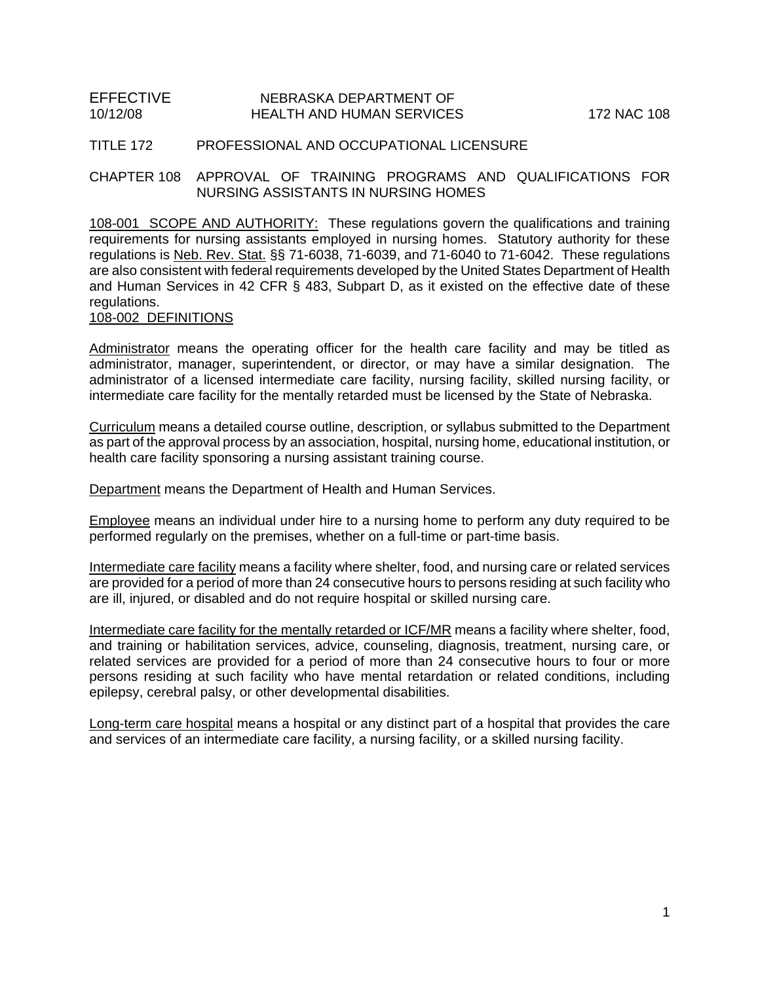## TITLE 172 PROFESSIONAL AND OCCUPATIONAL LICENSURE

CHAPTER 108 APPROVAL OF TRAINING PROGRAMS AND QUALIFICATIONS FOR NURSING ASSISTANTS IN NURSING HOMES

108-001 SCOPE AND AUTHORITY: These regulations govern the qualifications and training requirements for nursing assistants employed in nursing homes. Statutory authority for these regulations is Neb. Rev. Stat. §§ 71-6038, 71-6039, and 71-6040 to 71-6042. These regulations are also consistent with federal requirements developed by the United States Department of Health and Human Services in 42 CFR § 483, Subpart D, as it existed on the effective date of these regulations.

# 108-002 DEFINITIONS

Administrator means the operating officer for the health care facility and may be titled as administrator, manager, superintendent, or director, or may have a similar designation. The administrator of a licensed intermediate care facility, nursing facility, skilled nursing facility, or intermediate care facility for the mentally retarded must be licensed by the State of Nebraska.

Curriculum means a detailed course outline, description, or syllabus submitted to the Department as part of the approval process by an association, hospital, nursing home, educational institution, or health care facility sponsoring a nursing assistant training course.

Department means the Department of Health and Human Services.

Employee means an individual under hire to a nursing home to perform any duty required to be performed regularly on the premises, whether on a full-time or part-time basis.

Intermediate care facility means a facility where shelter, food, and nursing care or related services are provided for a period of more than 24 consecutive hours to persons residing at such facility who are ill, injured, or disabled and do not require hospital or skilled nursing care.

Intermediate care facility for the mentally retarded or ICF/MR means a facility where shelter, food, and training or habilitation services, advice, counseling, diagnosis, treatment, nursing care, or related services are provided for a period of more than 24 consecutive hours to four or more persons residing at such facility who have mental retardation or related conditions, including epilepsy, cerebral palsy, or other developmental disabilities.

Long-term care hospital means a hospital or any distinct part of a hospital that provides the care and services of an intermediate care facility, a nursing facility, or a skilled nursing facility.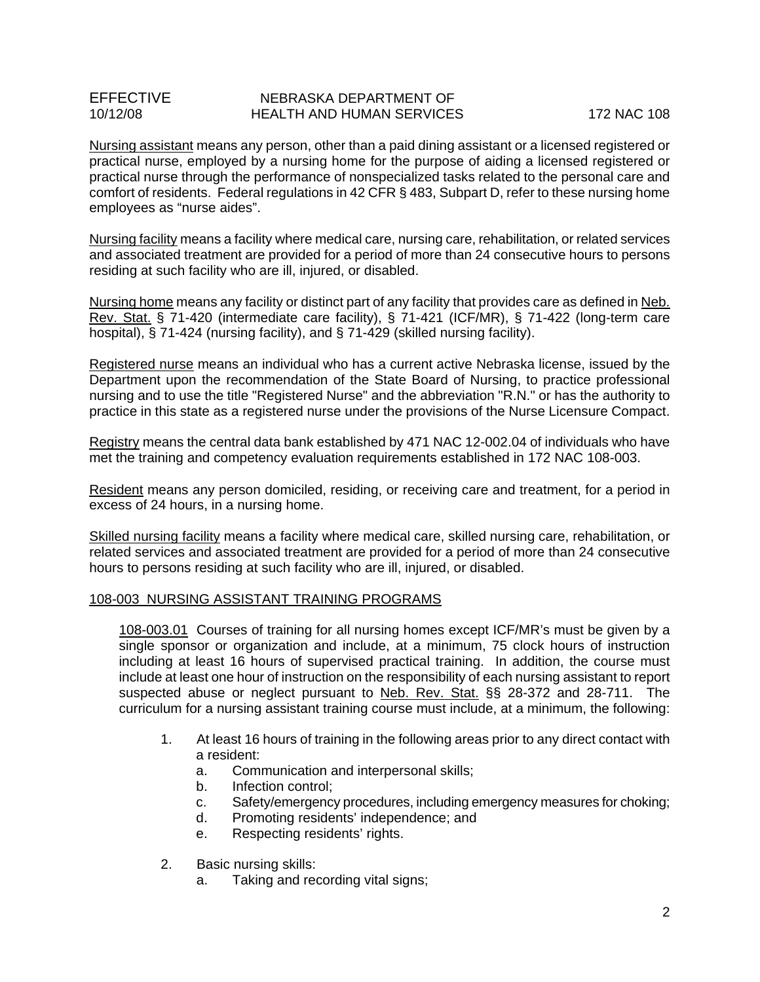Nursing assistant means any person, other than a paid dining assistant or a licensed registered or practical nurse, employed by a nursing home for the purpose of aiding a licensed registered or practical nurse through the performance of nonspecialized tasks related to the personal care and comfort of residents. Federal regulations in 42 CFR § 483, Subpart D, refer to these nursing home employees as "nurse aides".

Nursing facility means a facility where medical care, nursing care, rehabilitation, or related services and associated treatment are provided for a period of more than 24 consecutive hours to persons residing at such facility who are ill, injured, or disabled.

Nursing home means any facility or distinct part of any facility that provides care as defined in Neb. Rev. Stat. § 71-420 (intermediate care facility), § 71-421 (ICF/MR), § 71-422 (long-term care hospital), § 71-424 (nursing facility), and § 71-429 (skilled nursing facility).

Registered nurse means an individual who has a current active Nebraska license, issued by the Department upon the recommendation of the State Board of Nursing, to practice professional nursing and to use the title "Registered Nurse" and the abbreviation "R.N." or has the authority to practice in this state as a registered nurse under the provisions of the Nurse Licensure Compact.

Registry means the central data bank established by 471 NAC 12-002.04 of individuals who have met the training and competency evaluation requirements established in 172 NAC 108-003.

Resident means any person domiciled, residing, or receiving care and treatment, for a period in excess of 24 hours, in a nursing home.

Skilled nursing facility means a facility where medical care, skilled nursing care, rehabilitation, or related services and associated treatment are provided for a period of more than 24 consecutive hours to persons residing at such facility who are ill, injured, or disabled.

## 108-003 NURSING ASSISTANT TRAINING PROGRAMS

108-003.01 Courses of training for all nursing homes except ICF/MR's must be given by a single sponsor or organization and include, at a minimum, 75 clock hours of instruction including at least 16 hours of supervised practical training. In addition, the course must include at least one hour of instruction on the responsibility of each nursing assistant to report suspected abuse or neglect pursuant to Neb. Rev. Stat. §§ 28-372 and 28-711. The curriculum for a nursing assistant training course must include, at a minimum, the following:

- 1. At least 16 hours of training in the following areas prior to any direct contact with a resident:
	- a. Communication and interpersonal skills;
	- b. Infection control;
	- c. Safety/emergency procedures, including emergency measures for choking;
	- d. Promoting residents' independence; and
	- e. Respecting residents' rights.
- 2. Basic nursing skills:
	- a. Taking and recording vital signs;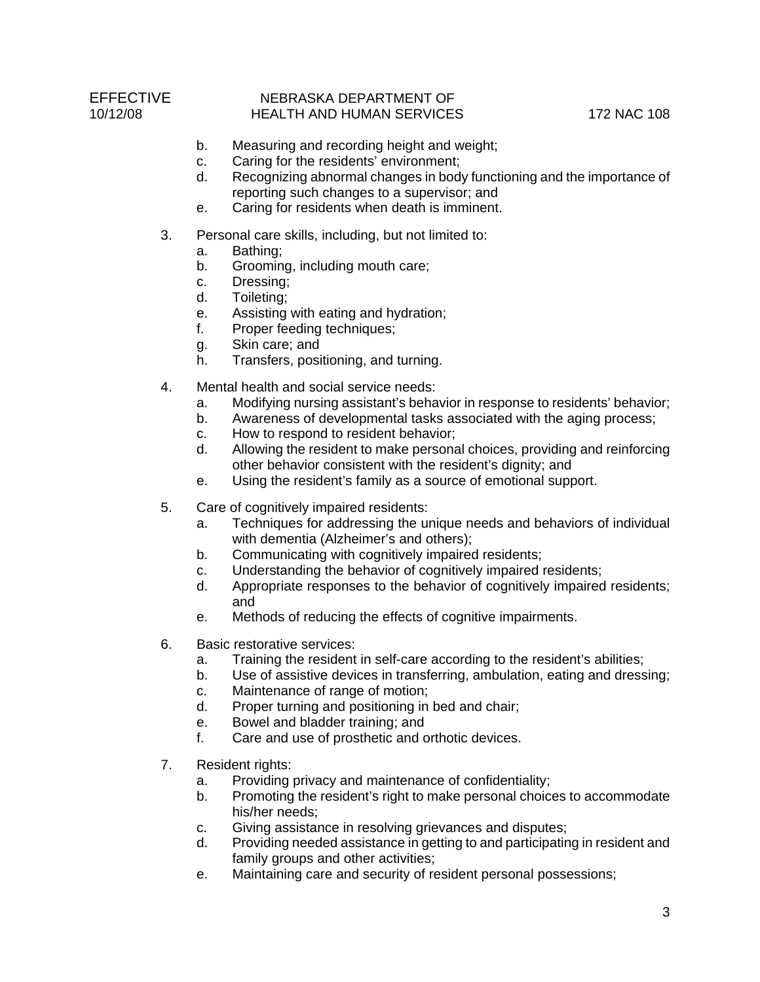- b. Measuring and recording height and weight;
- c. Caring for the residents' environment;
- d. Recognizing abnormal changes in body functioning and the importance of reporting such changes to a supervisor; and
- e. Caring for residents when death is imminent.
- 3. Personal care skills, including, but not limited to:
	- a. Bathing;
	- b. Grooming, including mouth care;
	- c. Dressing;
	- d. Toileting;
	- e. Assisting with eating and hydration;
	- f. Proper feeding techniques;
	- g. Skin care; and
	- h. Transfers, positioning, and turning.
- 4. Mental health and social service needs:
	- a. Modifying nursing assistant's behavior in response to residents' behavior;
	- b. Awareness of developmental tasks associated with the aging process;
	- c. How to respond to resident behavior;
	- d. Allowing the resident to make personal choices, providing and reinforcing other behavior consistent with the resident's dignity; and
	- e. Using the resident's family as a source of emotional support.
- 5. Care of cognitively impaired residents:
	- a. Techniques for addressing the unique needs and behaviors of individual with dementia (Alzheimer's and others);
	- b. Communicating with cognitively impaired residents;
	- c. Understanding the behavior of cognitively impaired residents;
	- d. Appropriate responses to the behavior of cognitively impaired residents; and
	- e. Methods of reducing the effects of cognitive impairments.
- 6. Basic restorative services:
	- a. Training the resident in self-care according to the resident's abilities;
	- b. Use of assistive devices in transferring, ambulation, eating and dressing;
	- c. Maintenance of range of motion;
	- d. Proper turning and positioning in bed and chair;
	- e. Bowel and bladder training; and
	- f. Care and use of prosthetic and orthotic devices.
- 7. Resident rights:
	- a. Providing privacy and maintenance of confidentiality;
	- b. Promoting the resident's right to make personal choices to accommodate his/her needs;
	- c. Giving assistance in resolving grievances and disputes;
	- d. Providing needed assistance in getting to and participating in resident and family groups and other activities;
	- e. Maintaining care and security of resident personal possessions;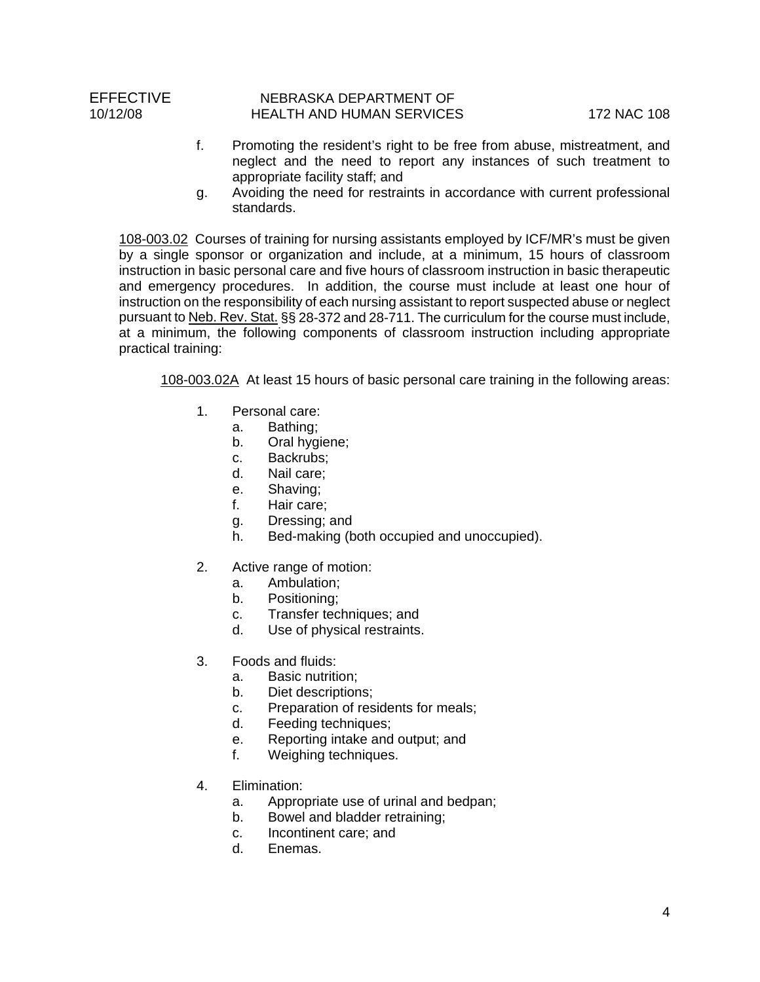- f. Promoting the resident's right to be free from abuse, mistreatment, and neglect and the need to report any instances of such treatment to appropriate facility staff; and
- g. Avoiding the need for restraints in accordance with current professional standards.

108-003.02 Courses of training for nursing assistants employed by ICF/MR's must be given by a single sponsor or organization and include, at a minimum, 15 hours of classroom instruction in basic personal care and five hours of classroom instruction in basic therapeutic and emergency procedures. In addition, the course must include at least one hour of instruction on the responsibility of each nursing assistant to report suspected abuse or neglect pursuant to Neb. Rev. Stat. §§ 28-372 and 28-711. The curriculum for the course must include, at a minimum, the following components of classroom instruction including appropriate practical training:

108-003.02A At least 15 hours of basic personal care training in the following areas:

- 1. Personal care:
	- a. Bathing;
	- b. Oral hygiene;
	- c. Backrubs;
	- d. Nail care;
	- e. Shaving;
	- f. Hair care;
	- g. Dressing; and
	- h. Bed-making (both occupied and unoccupied).
- 2. Active range of motion:
	- a. Ambulation;
	- b. Positioning;
	- c. Transfer techniques; and
	- d. Use of physical restraints.
- 3. Foods and fluids:
	- a. Basic nutrition;
	- b. Diet descriptions;
	- c. Preparation of residents for meals;
	- d. Feeding techniques;
	- e. Reporting intake and output; and
	- f. Weighing techniques.
- 4. Elimination:
	- a. Appropriate use of urinal and bedpan;
	- b. Bowel and bladder retraining;
	- c. Incontinent care; and
	- d. Enemas.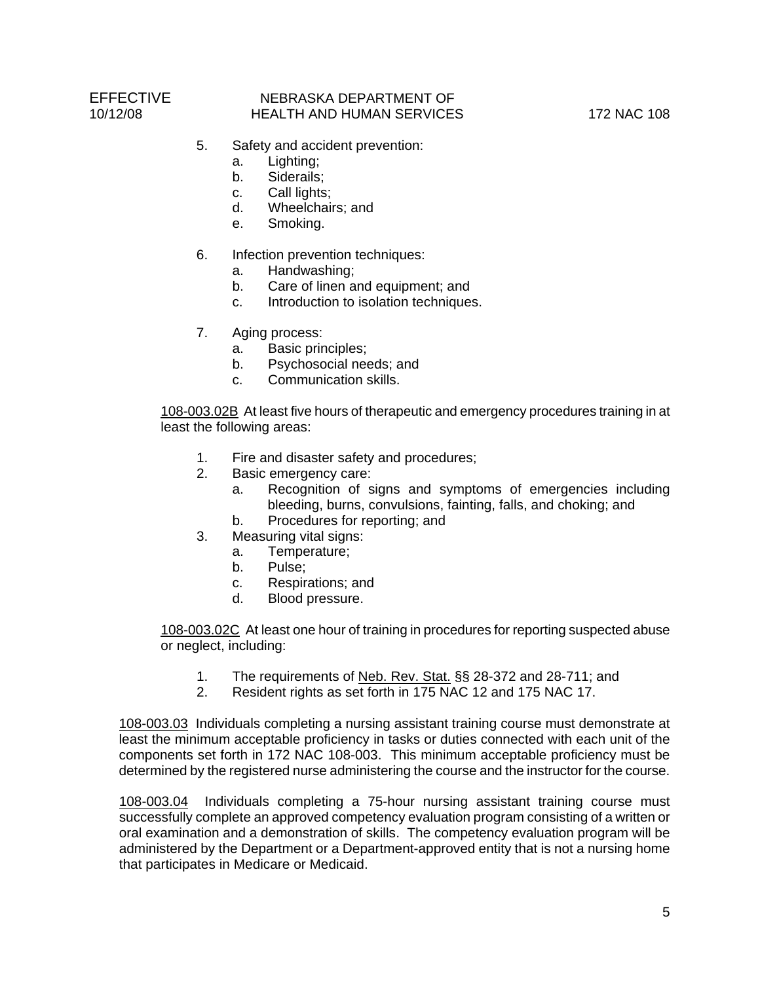- 5. Safety and accident prevention:
	- a. Lighting;
	- b. Siderails;
	- c. Call lights;
	- d. Wheelchairs; and
	- e. Smoking.
- 6. Infection prevention techniques:
	- a. Handwashing;
	- b. Care of linen and equipment; and
	- c. Introduction to isolation techniques.
- 7. Aging process:
	- a. Basic principles;
	- b. Psychosocial needs; and
	- c. Communication skills.

108-003.02B At least five hours of therapeutic and emergency procedures training in at least the following areas:

- 1. Fire and disaster safety and procedures;
- 2. Basic emergency care:
	- a. Recognition of signs and symptoms of emergencies including bleeding, burns, convulsions, fainting, falls, and choking; and
	- b. Procedures for reporting; and
- 3. Measuring vital signs:
	- a. Temperature;
	- b. Pulse;
	- c. Respirations; and
	- d. Blood pressure.

108-003.02C At least one hour of training in procedures for reporting suspected abuse or neglect, including:

- 1. The requirements of Neb. Rev. Stat. §§ 28-372 and 28-711; and
- 2. Resident rights as set forth in 175 NAC 12 and 175 NAC 17.

108-003.03 Individuals completing a nursing assistant training course must demonstrate at least the minimum acceptable proficiency in tasks or duties connected with each unit of the components set forth in 172 NAC 108-003. This minimum acceptable proficiency must be determined by the registered nurse administering the course and the instructor for the course.

108-003.04 Individuals completing a 75-hour nursing assistant training course must successfully complete an approved competency evaluation program consisting of a written or oral examination and a demonstration of skills. The competency evaluation program will be administered by the Department or a Department-approved entity that is not a nursing home that participates in Medicare or Medicaid.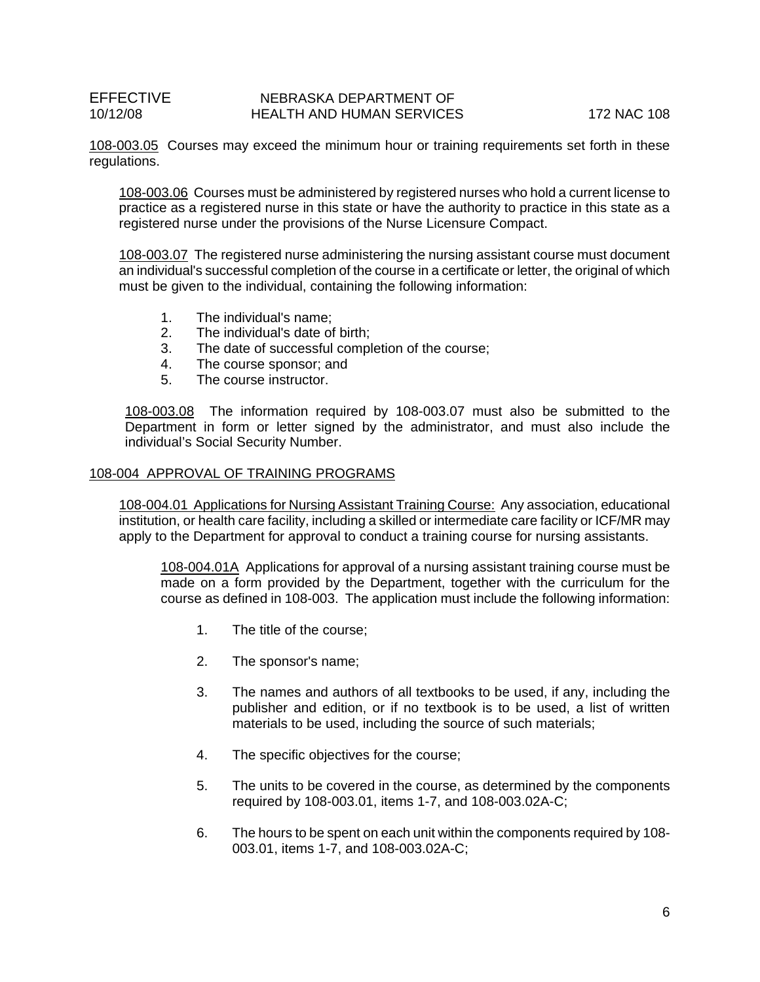108-003.05 Courses may exceed the minimum hour or training requirements set forth in these regulations.

108-003.06 Courses must be administered by registered nurses who hold a current license to practice as a registered nurse in this state or have the authority to practice in this state as a registered nurse under the provisions of the Nurse Licensure Compact.

108-003.07 The registered nurse administering the nursing assistant course must document an individual's successful completion of the course in a certificate or letter, the original of which must be given to the individual, containing the following information:

- 1. The individual's name;
- 2. The individual's date of birth;
- 3. The date of successful completion of the course;
- 4. The course sponsor; and
- 5. The course instructor.

108-003.08 The information required by 108-003.07 must also be submitted to the Department in form or letter signed by the administrator, and must also include the individual's Social Security Number.

#### 108-004 APPROVAL OF TRAINING PROGRAMS

108-004.01 Applications for Nursing Assistant Training Course: Any association, educational institution, or health care facility, including a skilled or intermediate care facility or ICF/MR may apply to the Department for approval to conduct a training course for nursing assistants.

108-004.01A Applications for approval of a nursing assistant training course must be made on a form provided by the Department, together with the curriculum for the course as defined in 108-003. The application must include the following information:

- 1. The title of the course;
- 2. The sponsor's name;
- 3. The names and authors of all textbooks to be used, if any, including the publisher and edition, or if no textbook is to be used, a list of written materials to be used, including the source of such materials;
- 4. The specific objectives for the course;
- 5. The units to be covered in the course, as determined by the components required by 108-003.01, items 1-7, and 108-003.02A-C;
- 6. The hours to be spent on each unit within the components required by 108- 003.01, items 1-7, and 108-003.02A-C;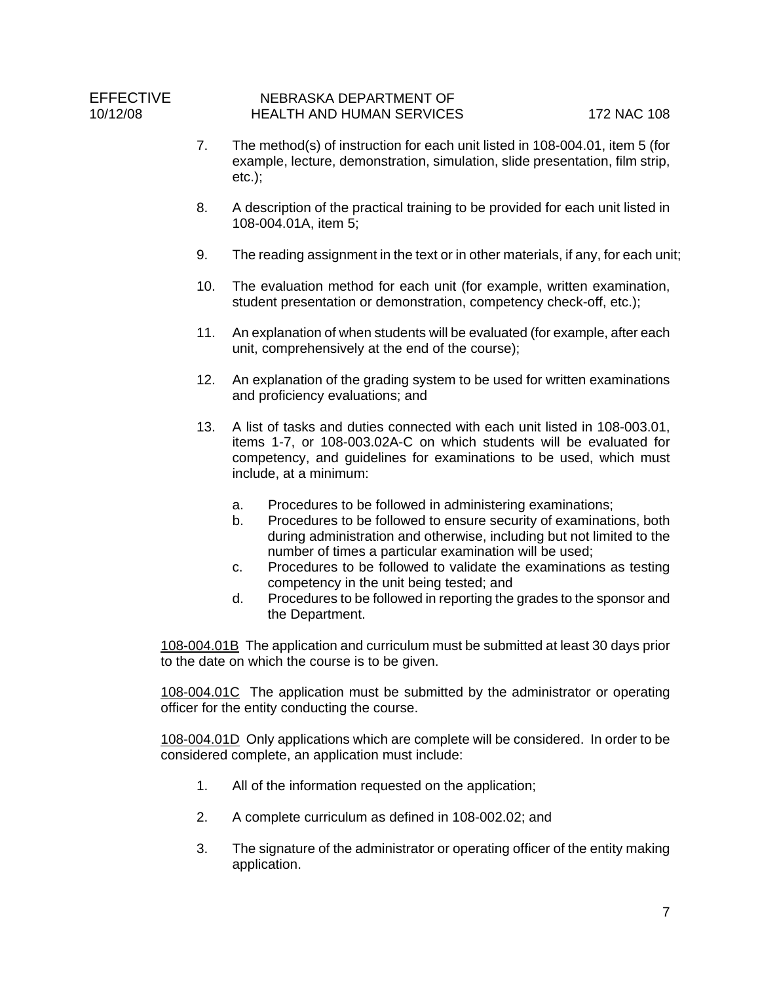- 7. The method(s) of instruction for each unit listed in 108-004.01, item 5 (for example, lecture, demonstration, simulation, slide presentation, film strip, etc.);
- 8. A description of the practical training to be provided for each unit listed in 108-004.01A, item 5;
- 9. The reading assignment in the text or in other materials, if any, for each unit;
- 10. The evaluation method for each unit (for example, written examination, student presentation or demonstration, competency check-off, etc.);
- 11. An explanation of when students will be evaluated (for example, after each unit, comprehensively at the end of the course);
- 12. An explanation of the grading system to be used for written examinations and proficiency evaluations; and
- 13. A list of tasks and duties connected with each unit listed in 108-003.01, items 1-7, or 108-003.02A-C on which students will be evaluated for competency, and guidelines for examinations to be used, which must include, at a minimum:
	- a. Procedures to be followed in administering examinations;
	- b. Procedures to be followed to ensure security of examinations, both during administration and otherwise, including but not limited to the number of times a particular examination will be used;
	- c. Procedures to be followed to validate the examinations as testing competency in the unit being tested; and
	- d. Procedures to be followed in reporting the grades to the sponsor and the Department.

108-004.01B The application and curriculum must be submitted at least 30 days prior to the date on which the course is to be given.

108-004.01C The application must be submitted by the administrator or operating officer for the entity conducting the course.

108-004.01D Only applications which are complete will be considered. In order to be considered complete, an application must include:

- 1. All of the information requested on the application;
- 2. A complete curriculum as defined in 108-002.02; and
- 3. The signature of the administrator or operating officer of the entity making application.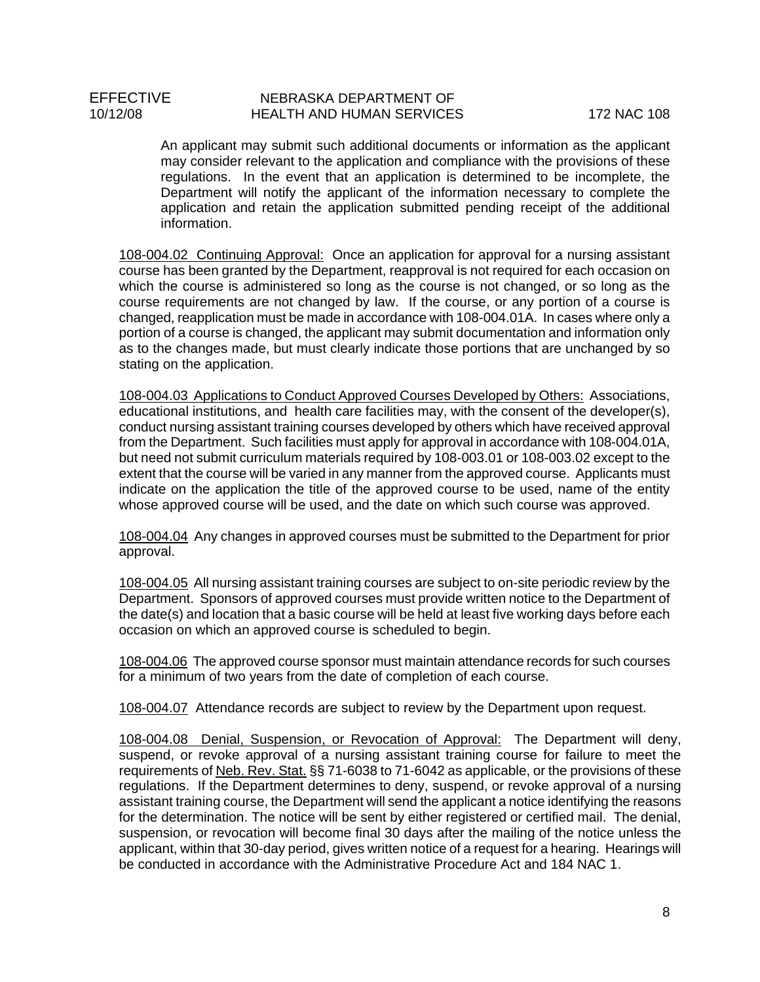An applicant may submit such additional documents or information as the applicant may consider relevant to the application and compliance with the provisions of these regulations. In the event that an application is determined to be incomplete, the Department will notify the applicant of the information necessary to complete the application and retain the application submitted pending receipt of the additional information.

108-004.02 Continuing Approval: Once an application for approval for a nursing assistant course has been granted by the Department, reapproval is not required for each occasion on which the course is administered so long as the course is not changed, or so long as the course requirements are not changed by law. If the course, or any portion of a course is changed, reapplication must be made in accordance with 108-004.01A. In cases where only a portion of a course is changed, the applicant may submit documentation and information only as to the changes made, but must clearly indicate those portions that are unchanged by so stating on the application.

108-004.03 Applications to Conduct Approved Courses Developed by Others: Associations, educational institutions, and health care facilities may, with the consent of the developer(s), conduct nursing assistant training courses developed by others which have received approval from the Department. Such facilities must apply for approval in accordance with 108-004.01A, but need not submit curriculum materials required by 108-003.01 or 108-003.02 except to the extent that the course will be varied in any manner from the approved course. Applicants must indicate on the application the title of the approved course to be used, name of the entity whose approved course will be used, and the date on which such course was approved.

108-004.04 Any changes in approved courses must be submitted to the Department for prior approval.

108-004.05 All nursing assistant training courses are subject to on-site periodic review by the Department. Sponsors of approved courses must provide written notice to the Department of the date(s) and location that a basic course will be held at least five working days before each occasion on which an approved course is scheduled to begin.

108-004.06 The approved course sponsor must maintain attendance records for such courses for a minimum of two years from the date of completion of each course.

108-004.07 Attendance records are subject to review by the Department upon request.

108-004.08 Denial, Suspension, or Revocation of Approval: The Department will deny, suspend, or revoke approval of a nursing assistant training course for failure to meet the requirements of Neb. Rev. Stat. §§ 71-6038 to 71-6042 as applicable, or the provisions of these regulations. If the Department determines to deny, suspend, or revoke approval of a nursing assistant training course, the Department will send the applicant a notice identifying the reasons for the determination. The notice will be sent by either registered or certified mail. The denial, suspension, or revocation will become final 30 days after the mailing of the notice unless the applicant, within that 30-day period, gives written notice of a request for a hearing. Hearings will be conducted in accordance with the Administrative Procedure Act and 184 NAC 1.